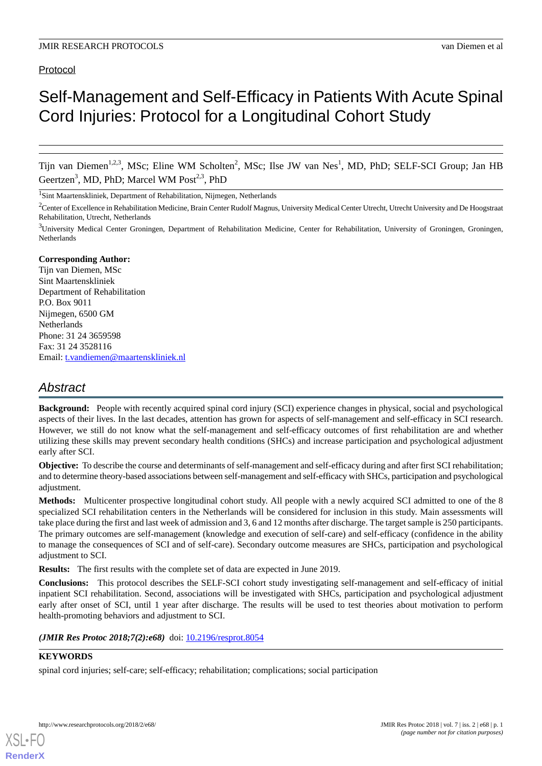### Protocol

# Self-Management and Self-Efficacy in Patients With Acute Spinal Cord Injuries: Protocol for a Longitudinal Cohort Study

Tijn van Diemen<sup>1,2,3</sup>, MSc; Eline WM Scholten<sup>2</sup>, MSc; Ilse JW van Nes<sup>1</sup>, MD, PhD; SELF-SCI Group; Jan HB Geertzen<sup>3</sup>, MD, PhD; Marcel WM Post<sup>2,3</sup>, PhD

<sup>1</sup>Sint Maartenskliniek, Department of Rehabilitation, Nijmegen, Netherlands

 $2$ Center of Excellence in Rehabilitation Medicine, Brain Center Rudolf Magnus, University Medical Center Utrecht, Utrecht University and De Hoogstraat Rehabilitation, Utrecht, Netherlands

<sup>3</sup>University Medical Center Groningen, Department of Rehabilitation Medicine, Center for Rehabilitation, University of Groningen, Groningen, Netherlands

#### **Corresponding Author:**

Tijn van Diemen, MSc Sint Maartenskliniek Department of Rehabilitation P.O. Box 9011 Nijmegen, 6500 GM Netherlands Phone: 31 24 3659598 Fax: 31 24 3528116 Email: [t.vandiemen@maartenskliniek.nl](mailto:t.vandiemen@maartenskliniek.nl)

# *Abstract*

**Background:** People with recently acquired spinal cord injury (SCI) experience changes in physical, social and psychological aspects of their lives. In the last decades, attention has grown for aspects of self-management and self-efficacy in SCI research. However, we still do not know what the self-management and self-efficacy outcomes of first rehabilitation are and whether utilizing these skills may prevent secondary health conditions (SHCs) and increase participation and psychological adjustment early after SCI.

**Objective:** To describe the course and determinants of self-management and self-efficacy during and after first SCI rehabilitation; and to determine theory-based associations between self-management and self-efficacy with SHCs, participation and psychological adjustment.

**Methods:** Multicenter prospective longitudinal cohort study. All people with a newly acquired SCI admitted to one of the 8 specialized SCI rehabilitation centers in the Netherlands will be considered for inclusion in this study. Main assessments will take place during the first and last week of admission and 3, 6 and 12 months after discharge. The target sample is 250 participants. The primary outcomes are self-management (knowledge and execution of self-care) and self-efficacy (confidence in the ability to manage the consequences of SCI and of self-care). Secondary outcome measures are SHCs, participation and psychological adjustment to SCI.

**Results:** The first results with the complete set of data are expected in June 2019.

**Conclusions:** This protocol describes the SELF-SCI cohort study investigating self-management and self-efficacy of initial inpatient SCI rehabilitation. Second, associations will be investigated with SHCs, participation and psychological adjustment early after onset of SCI, until 1 year after discharge. The results will be used to test theories about motivation to perform health-promoting behaviors and adjustment to SCI.

(JMIR Res Protoc 2018;7(2):e68) doi: [10.2196/resprot.8054](http://dx.doi.org/10.2196/resprot.8054)

#### **KEYWORDS**

[XSL](http://www.w3.org/Style/XSL)•FO **[RenderX](http://www.renderx.com/)**

spinal cord injuries; self-care; self-efficacy; rehabilitation; complications; social participation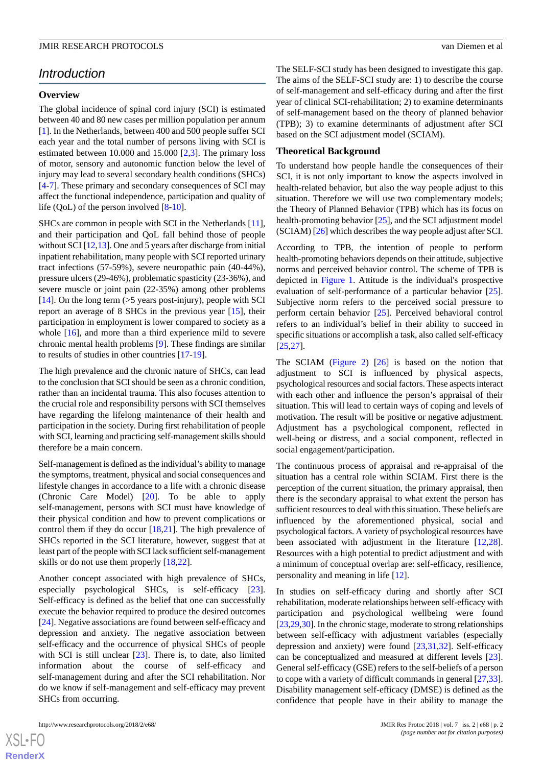## *Introduction*

#### **Overview**

The global incidence of spinal cord injury (SCI) is estimated between 40 and 80 new cases per million population per annum [[1\]](#page-7-0). In the Netherlands, between 400 and 500 people suffer SCI each year and the total number of persons living with SCI is estimated between 10.000 and 15.000 [[2,](#page-7-1)[3](#page-7-2)]. The primary loss of motor, sensory and autonomic function below the level of injury may lead to several secondary health conditions (SHCs) [[4](#page-7-3)[-7](#page-7-4)]. These primary and secondary consequences of SCI may affect the functional independence, participation and quality of life (QoL) of the person involved [[8-](#page-7-5)[10\]](#page-7-6).

SHCs are common in people with SCI in the Netherlands [[11\]](#page-7-7), and their participation and QoL fall behind those of people without SCI [\[12](#page-7-8)[,13](#page-7-9)]. One and 5 years after discharge from initial inpatient rehabilitation, many people with SCI reported urinary tract infections (57-59%), severe neuropathic pain (40-44%), pressure ulcers (29-46%), problematic spasticity (23-36%), and severe muscle or joint pain (22-35%) among other problems [[14\]](#page-7-10). On the long term  $(55 \text{ years post-injury})$ , people with SCI report an average of 8 SHCs in the previous year [[15\]](#page-7-11), their participation in employment is lower compared to society as a whole [[16\]](#page-7-12), and more than a third experience mild to severe chronic mental health problems [\[9\]](#page-7-13). These findings are similar to results of studies in other countries [\[17](#page-7-14)-[19\]](#page-8-0).

The high prevalence and the chronic nature of SHCs, can lead to the conclusion that SCI should be seen as a chronic condition, rather than an incidental trauma. This also focuses attention to the crucial role and responsibility persons with SCI themselves have regarding the lifelong maintenance of their health and participation in the society. During first rehabilitation of people with SCI, learning and practicing self-management skills should therefore be a main concern.

Self-management is defined as the individual's ability to manage the symptoms, treatment, physical and social consequences and lifestyle changes in accordance to a life with a chronic disease (Chronic Care Model) [[20\]](#page-8-1). To be able to apply self-management, persons with SCI must have knowledge of their physical condition and how to prevent complications or control them if they do occur  $[18,21]$  $[18,21]$  $[18,21]$ . The high prevalence of SHCs reported in the SCI literature, however, suggest that at least part of the people with SCI lack sufficient self-management skills or do not use them properly [[18](#page-8-2)[,22](#page-8-4)].

Another concept associated with high prevalence of SHCs, especially psychological SHCs, is self-efficacy [[23\]](#page-8-5). Self-efficacy is defined as the belief that one can successfully execute the behavior required to produce the desired outcomes [[24\]](#page-8-6). Negative associations are found between self-efficacy and depression and anxiety. The negative association between self-efficacy and the occurrence of physical SHCs of people with SCI is still unclear [\[23](#page-8-5)]. There is, to date, also limited information about the course of self-efficacy and self-management during and after the SCI rehabilitation. Nor do we know if self-management and self-efficacy may prevent SHCs from occurring.

http://www.researchprotocols.org/2018/2/e68/ JMIR Res Protoc 2018 | vol. 7 | iss. 2 | e68 | p. 2

The SELF-SCI study has been designed to investigate this gap. The aims of the SELF-SCI study are: 1) to describe the course of self-management and self-efficacy during and after the first year of clinical SCI-rehabilitation; 2) to examine determinants of self-management based on the theory of planned behavior (TPB); 3) to examine determinants of adjustment after SCI based on the SCI adjustment model (SCIAM).

#### **Theoretical Background**

To understand how people handle the consequences of their SCI, it is not only important to know the aspects involved in health-related behavior, but also the way people adjust to this situation. Therefore we will use two complementary models; the Theory of Planned Behavior (TPB) which has its focus on health-promoting behavior [\[25](#page-8-7)], and the SCI adjustment model (SCIAM) [\[26](#page-8-8)] which describes the way people adjust after SCI.

According to TPB, the intention of people to perform health-promoting behaviors depends on their attitude, subjective norms and perceived behavior control. The scheme of TPB is depicted in [Figure 1.](#page-2-0) Attitude is the individual's prospective evaluation of self-performance of a particular behavior [[25\]](#page-8-7). Subjective norm refers to the perceived social pressure to perform certain behavior [\[25](#page-8-7)]. Perceived behavioral control refers to an individual's belief in their ability to succeed in specific situations or accomplish a task, also called self-efficacy [[25,](#page-8-7)[27\]](#page-8-9).

The SCIAM [\(Figure 2\)](#page-2-1) [\[26](#page-8-8)] is based on the notion that adjustment to SCI is influenced by physical aspects, psychological resources and social factors. These aspects interact with each other and influence the person's appraisal of their situation. This will lead to certain ways of coping and levels of motivation. The result will be positive or negative adjustment. Adjustment has a psychological component, reflected in well-being or distress, and a social component, reflected in social engagement/participation.

The continuous process of appraisal and re-appraisal of the situation has a central role within SCIAM. First there is the perception of the current situation, the primary appraisal, then there is the secondary appraisal to what extent the person has sufficient resources to deal with this situation. These beliefs are influenced by the aforementioned physical, social and psychological factors. A variety of psychological resources have been associated with adjustment in the literature [\[12](#page-7-8),[28\]](#page-8-10). Resources with a high potential to predict adjustment and with a minimum of conceptual overlap are: self-efficacy, resilience, personality and meaning in life [[12\]](#page-7-8).

In studies on self-efficacy during and shortly after SCI rehabilitation, moderate relationships between self-efficacy with participation and psychological wellbeing were found [[23,](#page-8-5)[29](#page-8-11)[,30](#page-8-12)]. In the chronic stage, moderate to strong relationships between self-efficacy with adjustment variables (especially depression and anxiety) were found [\[23](#page-8-5),[31](#page-8-13)[,32](#page-8-14)]. Self-efficacy can be conceptualized and measured at different levels [[23\]](#page-8-5). General self-efficacy (GSE) refers to the self-beliefs of a person to cope with a variety of difficult commands in general [\[27](#page-8-9),[33\]](#page-8-15). Disability management self-efficacy (DMSE) is defined as the confidence that people have in their ability to manage the

 $XS$ -FO **[RenderX](http://www.renderx.com/)**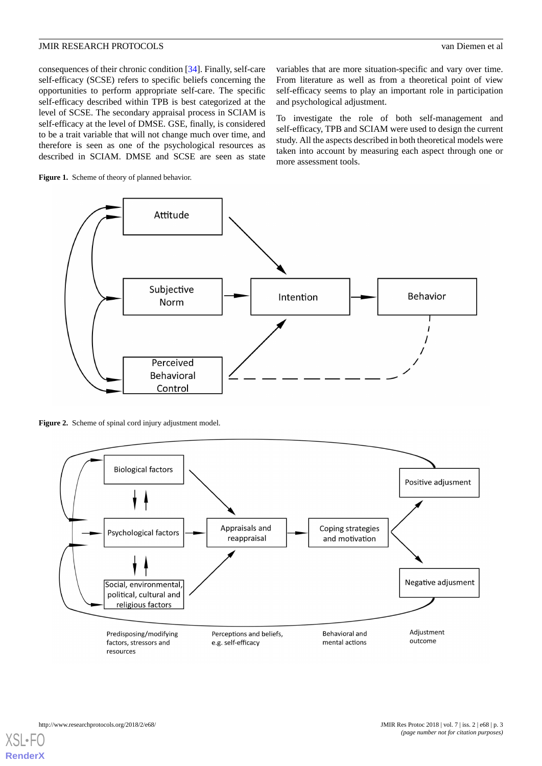consequences of their chronic condition [[34\]](#page-8-16). Finally, self-care self-efficacy (SCSE) refers to specific beliefs concerning the opportunities to perform appropriate self-care. The specific self-efficacy described within TPB is best categorized at the level of SCSE. The secondary appraisal process in SCIAM is self-efficacy at the level of DMSE. GSE, finally, is considered to be a trait variable that will not change much over time, and therefore is seen as one of the psychological resources as described in SCIAM. DMSE and SCSE are seen as state

variables that are more situation-specific and vary over time. From literature as well as from a theoretical point of view self-efficacy seems to play an important role in participation and psychological adjustment.

To investigate the role of both self-management and self-efficacy, TPB and SCIAM were used to design the current study. All the aspects described in both theoretical models were taken into account by measuring each aspect through one or more assessment tools.

<span id="page-2-0"></span>



<span id="page-2-1"></span>Figure 2. Scheme of spinal cord injury adjustment model.

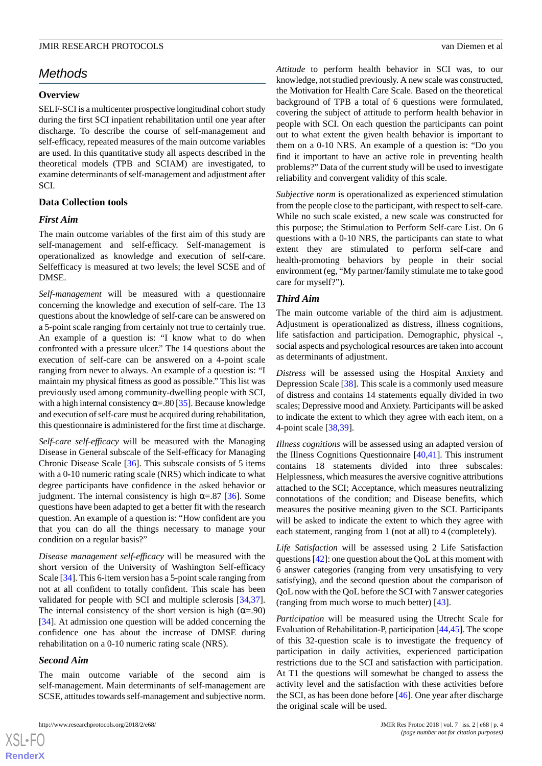# *Methods*

#### **Overview**

SELF-SCI is a multicenter prospective longitudinal cohort study during the first SCI inpatient rehabilitation until one year after discharge. To describe the course of self-management and self-efficacy, repeated measures of the main outcome variables are used. In this quantitative study all aspects described in the theoretical models (TPB and SCIAM) are investigated, to examine determinants of self-management and adjustment after SCI.

#### **Data Collection tools**

#### *First Aim*

The main outcome variables of the first aim of this study are self-management and self-efficacy. Self-management is operationalized as knowledge and execution of self-care. Selfefficacy is measured at two levels; the level SCSE and of DMSE.

*Self-management* will be measured with a questionnaire concerning the knowledge and execution of self-care. The 13 questions about the knowledge of self-care can be answered on a 5-point scale ranging from certainly not true to certainly true. An example of a question is: "I know what to do when confronted with a pressure ulcer." The 14 questions about the execution of self-care can be answered on a 4-point scale ranging from never to always. An example of a question is: "I maintain my physical fitness as good as possible." This list was previously used among community-dwelling people with SCI, with a high internal consistency  $\alpha = 80$  [\[35](#page-8-17)]. Because knowledge and execution of self-care must be acquired during rehabilitation, this questionnaire is administered for the first time at discharge.

*Self-care self-efficacy* will be measured with the Managing Disease in General subscale of the Self-efficacy for Managing Chronic Disease Scale [[36\]](#page-8-18). This subscale consists of 5 items with a 0-10 numeric rating scale (NRS) which indicate to what degree participants have confidence in the asked behavior or judgment. The internal consistency is high  $\alpha = .87$  [[36\]](#page-8-18). Some questions have been adapted to get a better fit with the research question. An example of a question is: "How confident are you that you can do all the things necessary to manage your condition on a regular basis?"

*Disease management self-efficacy* will be measured with the short version of the University of Washington Self-efficacy Scale [\[34](#page-8-16)]. This 6-item version has a 5-point scale ranging from not at all confident to totally confident. This scale has been validated for people with SCI and multiple sclerosis [\[34](#page-8-16),[37\]](#page-8-19). The internal consistency of the short version is high  $(\alpha = .90)$ [[34\]](#page-8-16). At admission one question will be added concerning the confidence one has about the increase of DMSE during rehabilitation on a 0-10 numeric rating scale (NRS).

#### *Second Aim*

The main outcome variable of the second aim is self-management. Main determinants of self-management are SCSE, attitudes towards self-management and subjective norm.

http://www.researchprotocols.org/2018/2/e68/ JMIR Res Protoc 2018 | vol. 7 | iss. 2 | e68 | p. 4

*Attitude* to perform health behavior in SCI was, to our knowledge, not studied previously. A new scale was constructed, the Motivation for Health Care Scale. Based on the theoretical background of TPB a total of 6 questions were formulated, covering the subject of attitude to perform health behavior in people with SCI. On each question the participants can point out to what extent the given health behavior is important to them on a 0-10 NRS. An example of a question is: "Do you find it important to have an active role in preventing health problems?" Data of the current study will be used to investigate reliability and convergent validity of this scale.

*Subjective norm* is operationalized as experienced stimulation from the people close to the participant, with respect to self-care. While no such scale existed, a new scale was constructed for this purpose; the Stimulation to Perform Self-care List. On 6 questions with a 0-10 NRS, the participants can state to what extent they are stimulated to perform self-care and health-promoting behaviors by people in their social environment (eg, "My partner/family stimulate me to take good care for myself?").

#### *Third Aim*

The main outcome variable of the third aim is adjustment. Adjustment is operationalized as distress, illness cognitions, life satisfaction and participation. Demographic, physical -, social aspects and psychological resources are taken into account as determinants of adjustment.

*Distress* will be assessed using the Hospital Anxiety and Depression Scale [\[38](#page-8-20)]. This scale is a commonly used measure of distress and contains 14 statements equally divided in two scales; Depressive mood and Anxiety. Participants will be asked to indicate the extent to which they agree with each item, on a 4-point scale [[38](#page-8-20)[,39](#page-8-21)].

*Illness cognitions* will be assessed using an adapted version of the Illness Cognitions Questionnaire [[40,](#page-8-22)[41](#page-8-23)]. This instrument contains 18 statements divided into three subscales: Helplessness, which measures the aversive cognitive attributions attached to the SCI; Acceptance, which measures neutralizing connotations of the condition; and Disease benefits, which measures the positive meaning given to the SCI. Participants will be asked to indicate the extent to which they agree with each statement, ranging from 1 (not at all) to 4 (completely).

*Life Satisfaction* will be assessed using 2 Life Satisfaction questions [[42\]](#page-8-24): one question about the QoL at this moment with 6 answer categories (ranging from very unsatisfying to very satisfying), and the second question about the comparison of QoL now with the QoL before the SCI with 7 answer categories (ranging from much worse to much better) [[43\]](#page-9-0).

*Participation* will be measured using the Utrecht Scale for Evaluation of Rehabilitation-P, participation [[44](#page-9-1)[,45\]](#page-9-2). The scope of this 32-question scale is to investigate the frequency of participation in daily activities, experienced participation restrictions due to the SCI and satisfaction with participation. At T1 the questions will somewhat be changed to assess the activity level and the satisfaction with these activities before the SCI, as has been done before [[46\]](#page-9-3). One year after discharge the original scale will be used.

 $XSI - F($ **[RenderX](http://www.renderx.com/)**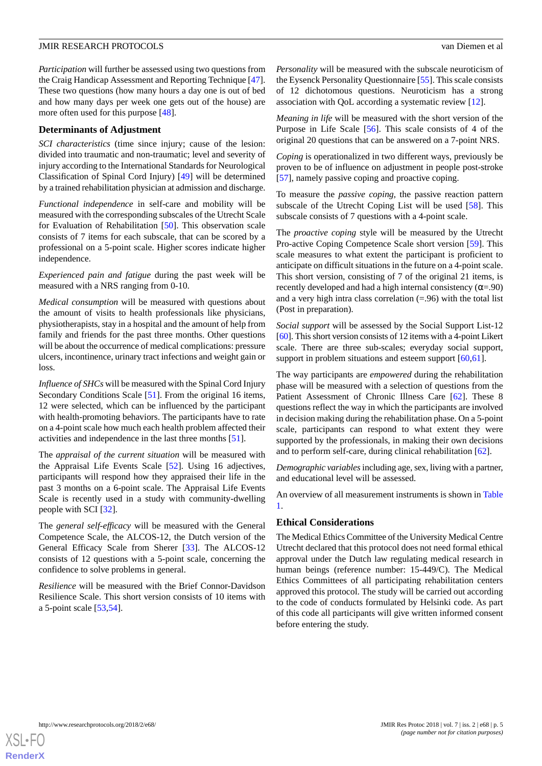*Participation* will further be assessed using two questions from the Craig Handicap Assessment and Reporting Technique [[47\]](#page-9-4). These two questions (how many hours a day one is out of bed and how many days per week one gets out of the house) are more often used for this purpose [\[48](#page-9-5)].

#### **Determinants of Adjustment**

*SCI characteristics* (time since injury; cause of the lesion: divided into traumatic and non-traumatic; level and severity of injury according to the International Standards for Neurological Classification of Spinal Cord Injury) [[49\]](#page-9-6) will be determined by a trained rehabilitation physician at admission and discharge.

*Functional independence* in self-care and mobility will be measured with the corresponding subscales of the Utrecht Scale for Evaluation of Rehabilitation [\[50](#page-9-7)]. This observation scale consists of 7 items for each subscale, that can be scored by a professional on a 5-point scale. Higher scores indicate higher independence.

*Experienced pain and fatigue* during the past week will be measured with a NRS ranging from 0-10.

*Medical consumption* will be measured with questions about the amount of visits to health professionals like physicians, physiotherapists, stay in a hospital and the amount of help from family and friends for the past three months. Other questions will be about the occurrence of medical complications: pressure ulcers, incontinence, urinary tract infections and weight gain or loss.

*Influence of SHCs* will be measured with the Spinal Cord Injury Secondary Conditions Scale [\[51](#page-9-8)]. From the original 16 items, 12 were selected, which can be influenced by the participant with health-promoting behaviors. The participants have to rate on a 4-point scale how much each health problem affected their activities and independence in the last three months [\[51](#page-9-8)].

The *appraisal of the current situation* will be measured with the Appraisal Life Events Scale [[52\]](#page-9-9). Using 16 adjectives, participants will respond how they appraised their life in the past 3 months on a 6-point scale. The Appraisal Life Events Scale is recently used in a study with community-dwelling people with SCI [\[32](#page-8-14)].

The *general self-efficacy* will be measured with the General Competence Scale, the ALCOS-12, the Dutch version of the General Efficacy Scale from Sherer [[33\]](#page-8-15). The ALCOS-12 consists of 12 questions with a 5-point scale, concerning the confidence to solve problems in general.

*Resilience* will be measured with the Brief Connor-Davidson Resilience Scale. This short version consists of 10 items with a 5-point scale [[53,](#page-9-10)[54](#page-9-11)].

*Personality* will be measured with the subscale neuroticism of the Eysenck Personality Questionnaire [[55\]](#page-9-12). This scale consists of 12 dichotomous questions. Neuroticism has a strong association with QoL according a systematic review [[12\]](#page-7-8).

*Meaning in life* will be measured with the short version of the Purpose in Life Scale [[56\]](#page-9-13). This scale consists of 4 of the original 20 questions that can be answered on a 7-point NRS.

*Coping* is operationalized in two different ways, previously be proven to be of influence on adjustment in people post-stroke [[57\]](#page-9-14), namely passive coping and proactive coping.

To measure the *passive coping,* the passive reaction pattern subscale of the Utrecht Coping List will be used [\[58](#page-9-15)]. This subscale consists of 7 questions with a 4-point scale.

The *proactive coping* style will be measured by the Utrecht Pro-active Coping Competence Scale short version [\[59](#page-9-16)]. This scale measures to what extent the participant is proficient to anticipate on difficult situations in the future on a 4-point scale. This short version, consisting of 7 of the original 21 items, is recently developed and had a high internal consistency ( $\alpha = .90$ ) and a very high intra class correlation  $(=.96)$  with the total list (Post in preparation).

*Social support* will be assessed by the Social Support List-12 [[60\]](#page-9-17). This short version consists of 12 items with a 4-point Likert scale. There are three sub-scales; everyday social support, support in problem situations and esteem support [\[60](#page-9-17),[61\]](#page-9-18).

The way participants are *empowered* during the rehabilitation phase will be measured with a selection of questions from the Patient Assessment of Chronic Illness Care [[62\]](#page-9-19). These 8 questions reflect the way in which the participants are involved in decision making during the rehabilitation phase. On a 5-point scale, participants can respond to what extent they were supported by the professionals, in making their own decisions and to perform self-care, during clinical rehabilitation [[62\]](#page-9-19).

*Demographic variables*including age, sex, living with a partner, and educational level will be assessed.

An overview of all measurement instruments is shown in [Table](#page-5-0) [1.](#page-5-0)

#### **Ethical Considerations**

The Medical Ethics Committee of the University Medical Centre Utrecht declared that this protocol does not need formal ethical approval under the Dutch law regulating medical research in human beings (reference number: 15-449/C). The Medical Ethics Committees of all participating rehabilitation centers approved this protocol. The study will be carried out according to the code of conducts formulated by Helsinki code. As part of this code all participants will give written informed consent before entering the study.

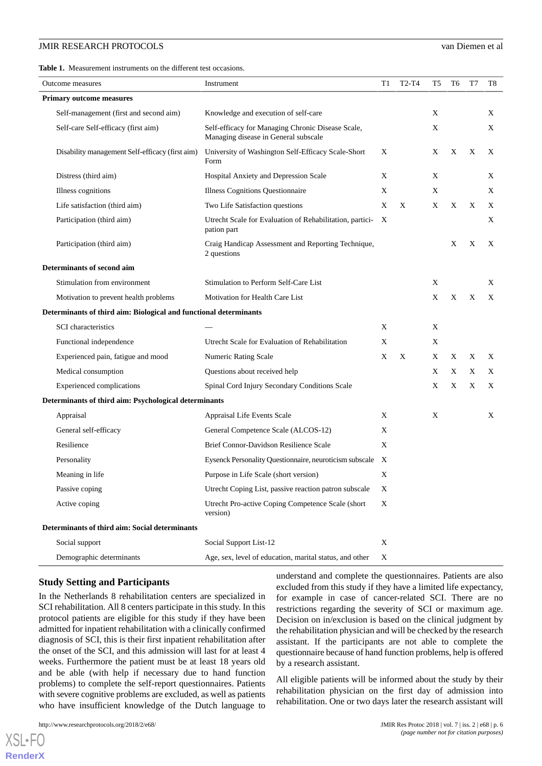<span id="page-5-0"></span>**Table 1.** Measurement instruments on the different test occasions.

| Outcome measures                                                  | Instrument                                                                                | T1 | T <sub>2</sub> -T <sub>4</sub> | T5 | T6 | T7 | T8 |
|-------------------------------------------------------------------|-------------------------------------------------------------------------------------------|----|--------------------------------|----|----|----|----|
| <b>Primary outcome measures</b>                                   |                                                                                           |    |                                |    |    |    |    |
| Self-management (first and second aim)                            | Knowledge and execution of self-care                                                      |    |                                | X  |    |    | X  |
| Self-care Self-efficacy (first aim)                               | Self-efficacy for Managing Chronic Disease Scale,<br>Managing disease in General subscale |    |                                | X  |    |    | X  |
| Disability management Self-efficacy (first aim)                   | University of Washington Self-Efficacy Scale-Short<br>Form                                | X  |                                | Χ  | Χ  | X  | X  |
| Distress (third aim)                                              | Hospital Anxiety and Depression Scale                                                     | X  |                                | X  |    |    | X  |
| Illness cognitions                                                | <b>Illness Cognitions Questionnaire</b>                                                   | X  |                                | X  |    |    | X  |
| Life satisfaction (third aim)                                     | Two Life Satisfaction questions                                                           | X  | X                              | X  | X  | X  | X  |
| Participation (third aim)                                         | Utrecht Scale for Evaluation of Rehabilitation, partici-<br>pation part                   | X  |                                |    |    |    | Χ  |
| Participation (third aim)                                         | Craig Handicap Assessment and Reporting Technique,<br>2 questions                         |    |                                |    | X  | X  | X  |
| <b>Determinants of second aim</b>                                 |                                                                                           |    |                                |    |    |    |    |
| Stimulation from environment                                      | Stimulation to Perform Self-Care List                                                     |    |                                | Χ  |    |    | X  |
| Motivation to prevent health problems                             | Motivation for Health Care List                                                           |    |                                | Χ  | X  | X  | X  |
| Determinants of third aim: Biological and functional determinants |                                                                                           |    |                                |    |    |    |    |
| <b>SCI</b> characteristics                                        |                                                                                           | X  |                                | X  |    |    |    |
| Functional independence                                           | Utrecht Scale for Evaluation of Rehabilitation                                            | X  |                                | X  |    |    |    |
| Experienced pain, fatigue and mood                                | Numeric Rating Scale                                                                      | X  | X                              | X  | Χ  | X  | X  |
| Medical consumption                                               | Questions about received help                                                             |    |                                | X  | Χ  | X  | X  |
| <b>Experienced</b> complications                                  | Spinal Cord Injury Secondary Conditions Scale                                             |    |                                | Χ  | X  | X  | X  |
| Determinants of third aim: Psychological determinants             |                                                                                           |    |                                |    |    |    |    |
| Appraisal                                                         | Appraisal Life Events Scale                                                               | X  |                                | X  |    |    | X  |
| General self-efficacy                                             | General Competence Scale (ALCOS-12)                                                       | X  |                                |    |    |    |    |
| Resilience                                                        | Brief Connor-Davidson Resilience Scale                                                    | X  |                                |    |    |    |    |
| Personality                                                       | Eysenck Personality Questionnaire, neuroticism subscale X                                 |    |                                |    |    |    |    |
| Meaning in life                                                   | Purpose in Life Scale (short version)                                                     | X  |                                |    |    |    |    |
| Passive coping                                                    | Utrecht Coping List, passive reaction patron subscale                                     | X  |                                |    |    |    |    |
| Active coping                                                     | Utrecht Pro-active Coping Competence Scale (short<br>version)                             | X  |                                |    |    |    |    |
| Determinants of third aim: Social determinants                    |                                                                                           |    |                                |    |    |    |    |
| Social support                                                    | Social Support List-12                                                                    | X  |                                |    |    |    |    |
| Demographic determinants                                          | Age, sex, level of education, marital status, and other                                   | X  |                                |    |    |    |    |

#### **Study Setting and Participants**

In the Netherlands 8 rehabilitation centers are specialized in SCI rehabilitation. All 8 centers participate in this study. In this protocol patients are eligible for this study if they have been admitted for inpatient rehabilitation with a clinically confirmed diagnosis of SCI, this is their first inpatient rehabilitation after the onset of the SCI, and this admission will last for at least 4 weeks. Furthermore the patient must be at least 18 years old and be able (with help if necessary due to hand function problems) to complete the self-report questionnaires. Patients with severe cognitive problems are excluded, as well as patients who have insufficient knowledge of the Dutch language to

understand and complete the questionnaires. Patients are also excluded from this study if they have a limited life expectancy, for example in case of cancer-related SCI. There are no restrictions regarding the severity of SCI or maximum age. Decision on in/exclusion is based on the clinical judgment by the rehabilitation physician and will be checked by the research assistant. If the participants are not able to complete the questionnaire because of hand function problems, help is offered by a research assistant.

All eligible patients will be informed about the study by their rehabilitation physician on the first day of admission into rehabilitation. One or two days later the research assistant will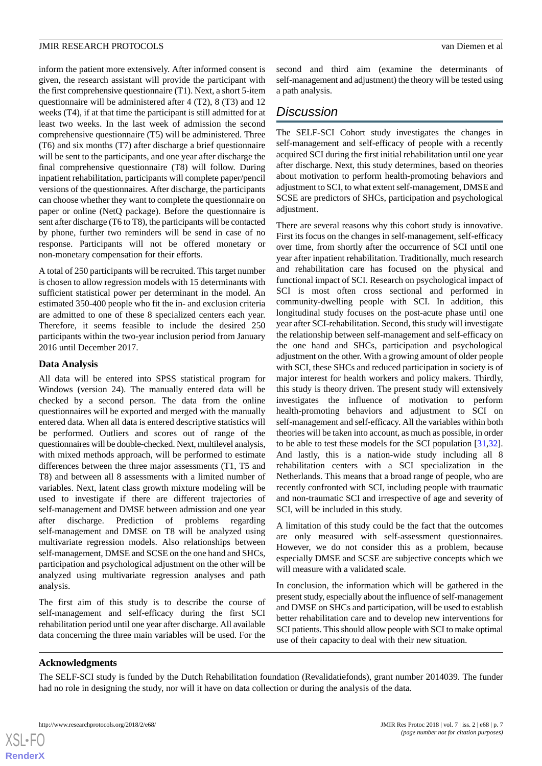inform the patient more extensively. After informed consent is given, the research assistant will provide the participant with the first comprehensive questionnaire (T1). Next, a short 5-item questionnaire will be administered after 4 (T2), 8 (T3) and 12 weeks (T4), if at that time the participant is still admitted for at least two weeks. In the last week of admission the second comprehensive questionnaire (T5) will be administered. Three (T6) and six months (T7) after discharge a brief questionnaire will be sent to the participants, and one year after discharge the final comprehensive questionnaire (T8) will follow. During inpatient rehabilitation, participants will complete paper/pencil versions of the questionnaires. After discharge, the participants can choose whether they want to complete the questionnaire on paper or online (NetQ package). Before the questionnaire is sent after discharge (T6 to T8), the participants will be contacted by phone, further two reminders will be send in case of no response. Participants will not be offered monetary or non-monetary compensation for their efforts.

A total of 250 participants will be recruited. This target number is chosen to allow regression models with 15 determinants with sufficient statistical power per determinant in the model. An estimated 350-400 people who fit the in- and exclusion criteria are admitted to one of these 8 specialized centers each year. Therefore, it seems feasible to include the desired 250 participants within the two-year inclusion period from January 2016 until December 2017.

#### **Data Analysis**

All data will be entered into SPSS statistical program for Windows (version 24). The manually entered data will be checked by a second person. The data from the online questionnaires will be exported and merged with the manually entered data. When all data is entered descriptive statistics will be performed. Outliers and scores out of range of the questionnaires will be double-checked. Next, multilevel analysis, with mixed methods approach, will be performed to estimate differences between the three major assessments (T1, T5 and T8) and between all 8 assessments with a limited number of variables. Next, latent class growth mixture modeling will be used to investigate if there are different trajectories of self-management and DMSE between admission and one year after discharge. Prediction of problems regarding self-management and DMSE on T8 will be analyzed using multivariate regression models. Also relationships between self-management, DMSE and SCSE on the one hand and SHCs, participation and psychological adjustment on the other will be analyzed using multivariate regression analyses and path analysis.

The first aim of this study is to describe the course of self-management and self-efficacy during the first SCI rehabilitation period until one year after discharge. All available data concerning the three main variables will be used. For the

second and third aim (examine the determinants of self-management and adjustment) the theory will be tested using a path analysis.

# *Discussion*

The SELF-SCI Cohort study investigates the changes in self-management and self-efficacy of people with a recently acquired SCI during the first initial rehabilitation until one year after discharge. Next, this study determines, based on theories about motivation to perform health-promoting behaviors and adjustment to SCI, to what extent self-management, DMSE and SCSE are predictors of SHCs, participation and psychological adjustment.

There are several reasons why this cohort study is innovative. First its focus on the changes in self-management, self-efficacy over time, from shortly after the occurrence of SCI until one year after inpatient rehabilitation. Traditionally, much research and rehabilitation care has focused on the physical and functional impact of SCI. Research on psychological impact of SCI is most often cross sectional and performed in community-dwelling people with SCI. In addition, this longitudinal study focuses on the post-acute phase until one year after SCI-rehabilitation. Second, this study will investigate the relationship between self-management and self-efficacy on the one hand and SHCs, participation and psychological adjustment on the other. With a growing amount of older people with SCI, these SHCs and reduced participation in society is of major interest for health workers and policy makers. Thirdly, this study is theory driven. The present study will extensively investigates the influence of motivation to perform health-promoting behaviors and adjustment to SCI on self-management and self-efficacy. All the variables within both theories will be taken into account, as much as possible, in order to be able to test these models for the SCI population [\[31](#page-8-13),[32\]](#page-8-14). And lastly, this is a nation-wide study including all 8 rehabilitation centers with a SCI specialization in the Netherlands. This means that a broad range of people, who are recently confronted with SCI, including people with traumatic and non-traumatic SCI and irrespective of age and severity of SCI, will be included in this study.

A limitation of this study could be the fact that the outcomes are only measured with self-assessment questionnaires. However, we do not consider this as a problem, because especially DMSE and SCSE are subjective concepts which we will measure with a validated scale.

In conclusion, the information which will be gathered in the present study, especially about the influence of self-management and DMSE on SHCs and participation, will be used to establish better rehabilitation care and to develop new interventions for SCI patients. This should allow people with SCI to make optimal use of their capacity to deal with their new situation.

#### **Acknowledgments**

[XSL](http://www.w3.org/Style/XSL)•FO **[RenderX](http://www.renderx.com/)**

The SELF-SCI study is funded by the Dutch Rehabilitation foundation (Revalidatiefonds), grant number 2014039. The funder had no role in designing the study, nor will it have on data collection or during the analysis of the data.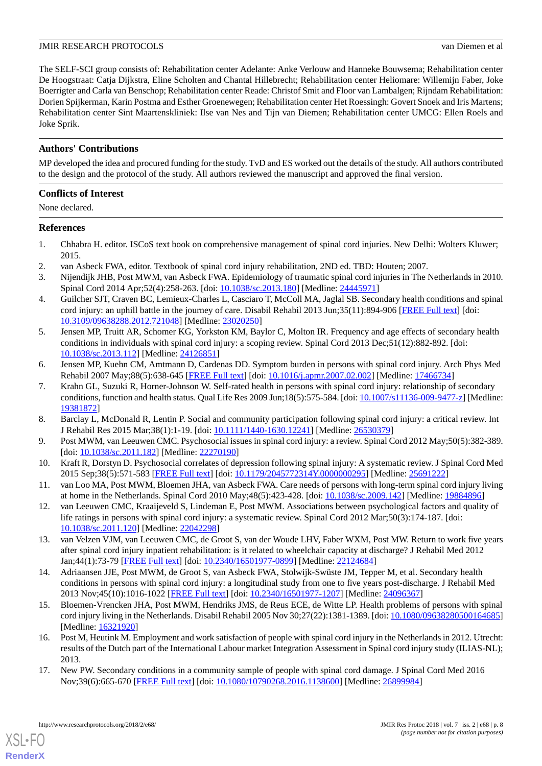The SELF-SCI group consists of: Rehabilitation center Adelante: Anke Verlouw and Hanneke Bouwsema; Rehabilitation center De Hoogstraat: Catja Dijkstra, Eline Scholten and Chantal Hillebrecht; Rehabilitation center Heliomare: Willemijn Faber, Joke Boerrigter and Carla van Benschop; Rehabilitation center Reade: Christof Smit and Floor van Lambalgen; Rijndam Rehabilitation: Dorien Spijkerman, Karin Postma and Esther Groenewegen; Rehabilitation center Het Roessingh: Govert Snoek and Iris Martens; Rehabilitation center Sint Maartenskliniek: Ilse van Nes and Tijn van Diemen; Rehabilitation center UMCG: Ellen Roels and Joke Sprik.

### **Authors' Contributions**

MP developed the idea and procured funding for the study. TvD and ES worked out the details of the study. All authors contributed to the design and the protocol of the study. All authors reviewed the manuscript and approved the final version.

### **Conflicts of Interest**

None declared.

#### <span id="page-7-0"></span>**References**

- <span id="page-7-2"></span><span id="page-7-1"></span>1. Chhabra H. editor. ISCoS text book on comprehensive management of spinal cord injuries. New Delhi: Wolters Kluwer; 2015.
- <span id="page-7-3"></span>2. van Asbeck FWA, editor. Textbook of spinal cord injury rehabilitation, 2ND ed. TBD: Houten; 2007.
- 3. Nijendijk JHB, Post MWM, van Asbeck FWA. Epidemiology of traumatic spinal cord injuries in The Netherlands in 2010. Spinal Cord 2014 Apr;52(4):258-263. [doi: [10.1038/sc.2013.180\]](http://dx.doi.org/10.1038/sc.2013.180) [Medline: [24445971\]](http://www.ncbi.nlm.nih.gov/entrez/query.fcgi?cmd=Retrieve&db=PubMed&list_uids=24445971&dopt=Abstract)
- 4. Guilcher SJT, Craven BC, Lemieux-Charles L, Casciaro T, McColl MA, Jaglal SB. Secondary health conditions and spinal cord injury: an uphill battle in the journey of care. Disabil Rehabil 2013 Jun;35(11):894-906 [[FREE Full text](http://europepmc.org/abstract/MED/23020250)] [doi: [10.3109/09638288.2012.721048\]](http://dx.doi.org/10.3109/09638288.2012.721048) [Medline: [23020250\]](http://www.ncbi.nlm.nih.gov/entrez/query.fcgi?cmd=Retrieve&db=PubMed&list_uids=23020250&dopt=Abstract)
- 5. Jensen MP, Truitt AR, Schomer KG, Yorkston KM, Baylor C, Molton IR. Frequency and age effects of secondary health conditions in individuals with spinal cord injury: a scoping review. Spinal Cord 2013 Dec;51(12):882-892. [doi: [10.1038/sc.2013.112](http://dx.doi.org/10.1038/sc.2013.112)] [Medline: [24126851\]](http://www.ncbi.nlm.nih.gov/entrez/query.fcgi?cmd=Retrieve&db=PubMed&list_uids=24126851&dopt=Abstract)
- <span id="page-7-4"></span>6. Jensen MP, Kuehn CM, Amtmann D, Cardenas DD. Symptom burden in persons with spinal cord injury. Arch Phys Med Rehabil 2007 May;88(5):638-645 [\[FREE Full text\]](http://europepmc.org/abstract/MED/17466734) [doi: [10.1016/j.apmr.2007.02.002](http://dx.doi.org/10.1016/j.apmr.2007.02.002)] [Medline: [17466734\]](http://www.ncbi.nlm.nih.gov/entrez/query.fcgi?cmd=Retrieve&db=PubMed&list_uids=17466734&dopt=Abstract)
- <span id="page-7-13"></span><span id="page-7-5"></span>7. Krahn GL, Suzuki R, Horner-Johnson W. Self-rated health in persons with spinal cord injury: relationship of secondary conditions, function and health status. Qual Life Res 2009 Jun;18(5):575-584. [doi: [10.1007/s11136-009-9477-z](http://dx.doi.org/10.1007/s11136-009-9477-z)] [Medline: [19381872](http://www.ncbi.nlm.nih.gov/entrez/query.fcgi?cmd=Retrieve&db=PubMed&list_uids=19381872&dopt=Abstract)]
- <span id="page-7-6"></span>8. Barclay L, McDonald R, Lentin P. Social and community participation following spinal cord injury: a critical review. Int J Rehabil Res 2015 Mar;38(1):1-19. [doi: [10.1111/1440-1630.12241](http://dx.doi.org/10.1111/1440-1630.12241)] [Medline: [26530379](http://www.ncbi.nlm.nih.gov/entrez/query.fcgi?cmd=Retrieve&db=PubMed&list_uids=26530379&dopt=Abstract)]
- <span id="page-7-7"></span>9. Post MWM, van Leeuwen CMC. Psychosocial issues in spinal cord injury: a review. Spinal Cord 2012 May;50(5):382-389. [doi: [10.1038/sc.2011.182\]](http://dx.doi.org/10.1038/sc.2011.182) [Medline: [22270190](http://www.ncbi.nlm.nih.gov/entrez/query.fcgi?cmd=Retrieve&db=PubMed&list_uids=22270190&dopt=Abstract)]
- <span id="page-7-8"></span>10. Kraft R, Dorstyn D. Psychosocial correlates of depression following spinal injury: A systematic review. J Spinal Cord Med 2015 Sep;38(5):571-583 [\[FREE Full text\]](http://europepmc.org/abstract/MED/25691222) [doi: [10.1179/2045772314Y.0000000295\]](http://dx.doi.org/10.1179/2045772314Y.0000000295) [Medline: [25691222\]](http://www.ncbi.nlm.nih.gov/entrez/query.fcgi?cmd=Retrieve&db=PubMed&list_uids=25691222&dopt=Abstract)
- <span id="page-7-9"></span>11. van Loo MA, Post MWM, Bloemen JHA, van Asbeck FWA. Care needs of persons with long-term spinal cord injury living at home in the Netherlands. Spinal Cord 2010 May;48(5):423-428. [doi: [10.1038/sc.2009.142](http://dx.doi.org/10.1038/sc.2009.142)] [Medline: [19884896\]](http://www.ncbi.nlm.nih.gov/entrez/query.fcgi?cmd=Retrieve&db=PubMed&list_uids=19884896&dopt=Abstract)
- <span id="page-7-10"></span>12. van Leeuwen CMC, Kraaijeveld S, Lindeman E, Post MWM. Associations between psychological factors and quality of life ratings in persons with spinal cord injury: a systematic review. Spinal Cord 2012 Mar;50(3):174-187. [doi: [10.1038/sc.2011.120](http://dx.doi.org/10.1038/sc.2011.120)] [Medline: [22042298\]](http://www.ncbi.nlm.nih.gov/entrez/query.fcgi?cmd=Retrieve&db=PubMed&list_uids=22042298&dopt=Abstract)
- <span id="page-7-11"></span>13. van Velzen VJM, van Leeuwen CMC, de Groot S, van der Woude LHV, Faber WXM, Post MW. Return to work five years after spinal cord injury inpatient rehabilitation: is it related to wheelchair capacity at discharge? J Rehabil Med 2012 Jan;44(1):73-79 [\[FREE Full text\]](https://www.medicaljournals.se/jrm/content/abstract/10.2340/16501977-0899) [doi: [10.2340/16501977-0899](http://dx.doi.org/10.2340/16501977-0899)] [Medline: [22124684](http://www.ncbi.nlm.nih.gov/entrez/query.fcgi?cmd=Retrieve&db=PubMed&list_uids=22124684&dopt=Abstract)]
- <span id="page-7-12"></span>14. Adriaansen JJE, Post MWM, de Groot S, van Asbeck FWA, Stolwijk-Swüste JM, Tepper M, et al. Secondary health conditions in persons with spinal cord injury: a longitudinal study from one to five years post-discharge. J Rehabil Med 2013 Nov;45(10):1016-1022 [[FREE Full text\]](https://www.medicaljournals.se/jrm/content/abstract/10.2340/16501977-1207) [doi: [10.2340/16501977-1207\]](http://dx.doi.org/10.2340/16501977-1207) [Medline: [24096367\]](http://www.ncbi.nlm.nih.gov/entrez/query.fcgi?cmd=Retrieve&db=PubMed&list_uids=24096367&dopt=Abstract)
- <span id="page-7-14"></span>15. Bloemen-Vrencken JHA, Post MWM, Hendriks JMS, de Reus ECE, de Witte LP. Health problems of persons with spinal cord injury living in the Netherlands. Disabil Rehabil 2005 Nov 30;27(22):1381-1389. [doi: [10.1080/09638280500164685](http://dx.doi.org/10.1080/09638280500164685)] [Medline: [16321920](http://www.ncbi.nlm.nih.gov/entrez/query.fcgi?cmd=Retrieve&db=PubMed&list_uids=16321920&dopt=Abstract)]
- 16. Post M, Heutink M. Employment and work satisfaction of people with spinal cord injury in the Netherlands in 2012. Utrecht: results of the Dutch part of the International Labour market Integration Assessment in Spinal cord injury study (ILIAS-NL); 2013.
- 17. New PW. Secondary conditions in a community sample of people with spinal cord damage. J Spinal Cord Med 2016 Nov;39(6):665-670 [[FREE Full text](http://europepmc.org/abstract/MED/26899984)] [doi: [10.1080/10790268.2016.1138600\]](http://dx.doi.org/10.1080/10790268.2016.1138600) [Medline: [26899984\]](http://www.ncbi.nlm.nih.gov/entrez/query.fcgi?cmd=Retrieve&db=PubMed&list_uids=26899984&dopt=Abstract)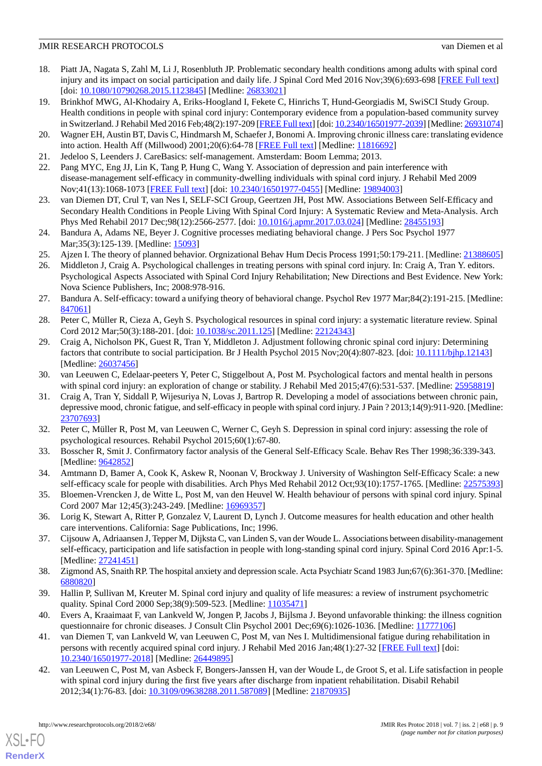- <span id="page-8-2"></span>18. Piatt JA, Nagata S, Zahl M, Li J, Rosenbluth JP. Problematic secondary health conditions among adults with spinal cord injury and its impact on social participation and daily life. J Spinal Cord Med 2016 Nov;39(6):693-698 [\[FREE Full text\]](http://europepmc.org/abstract/MED/26833021) [doi: [10.1080/10790268.2015.1123845](http://dx.doi.org/10.1080/10790268.2015.1123845)] [Medline: [26833021\]](http://www.ncbi.nlm.nih.gov/entrez/query.fcgi?cmd=Retrieve&db=PubMed&list_uids=26833021&dopt=Abstract)
- <span id="page-8-0"></span>19. Brinkhof MWG, Al-Khodairy A, Eriks-Hoogland I, Fekete C, Hinrichs T, Hund-Georgiadis M, SwiSCI Study Group. Health conditions in people with spinal cord injury: Contemporary evidence from a population-based community survey in Switzerland. J Rehabil Med 2016 Feb;48(2):197-209 [\[FREE Full text](https://www.medicaljournals.se/jrm/content/abstract/10.2340/16501977-2039)] [doi: [10.2340/16501977-2039\]](http://dx.doi.org/10.2340/16501977-2039) [Medline: [26931074\]](http://www.ncbi.nlm.nih.gov/entrez/query.fcgi?cmd=Retrieve&db=PubMed&list_uids=26931074&dopt=Abstract)
- <span id="page-8-3"></span><span id="page-8-1"></span>20. Wagner EH, Austin BT, Davis C, Hindmarsh M, Schaefer J, Bonomi A. Improving chronic illness care: translating evidence into action. Health Aff (Millwood) 2001;20(6):64-78 [\[FREE Full text](http://content.healthaffairs.org/cgi/pmidlookup?view=long&pmid=11816692)] [Medline: [11816692](http://www.ncbi.nlm.nih.gov/entrez/query.fcgi?cmd=Retrieve&db=PubMed&list_uids=11816692&dopt=Abstract)]
- <span id="page-8-4"></span>21. Jedeloo S, Leenders J. CareBasics: self-management. Amsterdam: Boom Lemma; 2013.
- <span id="page-8-5"></span>22. Pang MYC, Eng JJ, Lin K, Tang P, Hung C, Wang Y. Association of depression and pain interference with disease-management self-efficacy in community-dwelling individuals with spinal cord injury. J Rehabil Med 2009 Nov;41(13):1068-1073 [[FREE Full text](https://www.medicaljournals.se/jrm/content/abstract/10.2340/16501977-0455)] [doi: [10.2340/16501977-0455](http://dx.doi.org/10.2340/16501977-0455)] [Medline: [19894003\]](http://www.ncbi.nlm.nih.gov/entrez/query.fcgi?cmd=Retrieve&db=PubMed&list_uids=19894003&dopt=Abstract)
- <span id="page-8-6"></span>23. van Diemen DT, Crul T, van Nes I, SELF-SCI Group, Geertzen JH, Post MW. Associations Between Self-Efficacy and Secondary Health Conditions in People Living With Spinal Cord Injury: A Systematic Review and Meta-Analysis. Arch Phys Med Rehabil 2017 Dec;98(12):2566-2577. [doi: [10.1016/j.apmr.2017.03.024](http://dx.doi.org/10.1016/j.apmr.2017.03.024)] [Medline: [28455193](http://www.ncbi.nlm.nih.gov/entrez/query.fcgi?cmd=Retrieve&db=PubMed&list_uids=28455193&dopt=Abstract)]
- <span id="page-8-8"></span><span id="page-8-7"></span>24. Bandura A, Adams NE, Beyer J. Cognitive processes mediating behavioral change. J Pers Soc Psychol 1977 Mar; 35(3): 125-139. [Medline: [15093\]](http://www.ncbi.nlm.nih.gov/entrez/query.fcgi?cmd=Retrieve&db=PubMed&list_uids=15093&dopt=Abstract)
- 25. Ajzen I. The theory of planned behavior. Orgnizational Behav Hum Decis Process 1991;50:179-211. [Medline: [21388605](http://www.ncbi.nlm.nih.gov/entrez/query.fcgi?cmd=Retrieve&db=PubMed&list_uids=21388605&dopt=Abstract)]
- <span id="page-8-9"></span>26. Middleton J, Craig A. Psychological challenges in treating persons with spinal cord injury. In: Craig A, Tran Y. editors. Psychological Aspects Associated with Spinal Cord Injury Rehabilitation; New Directions and Best Evidence. New York: Nova Science Publishers, Inc; 2008:978-916.
- <span id="page-8-11"></span><span id="page-8-10"></span>27. Bandura A. Self-efficacy: toward a unifying theory of behavioral change. Psychol Rev 1977 Mar;84(2):191-215. [Medline: [847061](http://www.ncbi.nlm.nih.gov/entrez/query.fcgi?cmd=Retrieve&db=PubMed&list_uids=847061&dopt=Abstract)]
- 28. Peter C, Müller R, Cieza A, Geyh S. Psychological resources in spinal cord injury: a systematic literature review. Spinal Cord 2012 Mar;50(3):188-201. [doi: [10.1038/sc.2011.125\]](http://dx.doi.org/10.1038/sc.2011.125) [Medline: [22124343](http://www.ncbi.nlm.nih.gov/entrez/query.fcgi?cmd=Retrieve&db=PubMed&list_uids=22124343&dopt=Abstract)]
- <span id="page-8-13"></span><span id="page-8-12"></span>29. Craig A, Nicholson PK, Guest R, Tran Y, Middleton J. Adjustment following chronic spinal cord injury: Determining factors that contribute to social participation. Br J Health Psychol 2015 Nov;20(4):807-823. [doi: [10.1111/bjhp.12143](http://dx.doi.org/10.1111/bjhp.12143)] [Medline: [26037456](http://www.ncbi.nlm.nih.gov/entrez/query.fcgi?cmd=Retrieve&db=PubMed&list_uids=26037456&dopt=Abstract)]
- 30. van Leeuwen C, Edelaar-peeters Y, Peter C, Stiggelbout A, Post M. Psychological factors and mental health in persons with spinal cord injury: an exploration of change or stability. J Rehabil Med 2015;47(6):531-537. [Medline: [25958819\]](http://www.ncbi.nlm.nih.gov/entrez/query.fcgi?cmd=Retrieve&db=PubMed&list_uids=25958819&dopt=Abstract)
- <span id="page-8-15"></span><span id="page-8-14"></span>31. Craig A, Tran Y, Siddall P, Wijesuriya N, Lovas J, Bartrop R. Developing a model of associations between chronic pain, depressive mood, chronic fatigue, and self-efficacy in people with spinal cord injury. J Pain ? 2013;14(9):911-920. [Medline: [23707693](http://www.ncbi.nlm.nih.gov/entrez/query.fcgi?cmd=Retrieve&db=PubMed&list_uids=23707693&dopt=Abstract)]
- <span id="page-8-16"></span>32. Peter C, Müller R, Post M, van Leeuwen C, Werner C, Geyh S. Depression in spinal cord injury: assessing the role of psychological resources. Rehabil Psychol 2015;60(1):67-80.
- <span id="page-8-17"></span>33. Bosscher R, Smit J. Confirmatory factor analysis of the General Self-Efficacy Scale. Behav Res Ther 1998;36:339-343. [Medline: [9642852\]](http://www.ncbi.nlm.nih.gov/entrez/query.fcgi?cmd=Retrieve&db=PubMed&list_uids=9642852&dopt=Abstract)
- <span id="page-8-18"></span>34. Amtmann D, Bamer A, Cook K, Askew R, Noonan V, Brockway J. University of Washington Self-Efficacy Scale: a new self-efficacy scale for people with disabilities. Arch Phys Med Rehabil 2012 Oct;93(10):1757-1765. [Medline: [22575393](http://www.ncbi.nlm.nih.gov/entrez/query.fcgi?cmd=Retrieve&db=PubMed&list_uids=22575393&dopt=Abstract)]
- <span id="page-8-19"></span>35. Bloemen-Vrencken J, de Witte L, Post M, van den Heuvel W. Health behaviour of persons with spinal cord injury. Spinal Cord 2007 Mar 12;45(3):243-249. [Medline: [16969357](http://www.ncbi.nlm.nih.gov/entrez/query.fcgi?cmd=Retrieve&db=PubMed&list_uids=16969357&dopt=Abstract)]
- <span id="page-8-20"></span>36. Lorig K, Stewart A, Ritter P, Gonzalez V, Laurent D, Lynch J. Outcome measures for health education and other health care interventions. California: Sage Publications, Inc; 1996.
- <span id="page-8-22"></span><span id="page-8-21"></span>37. Cijsouw A, Adriaansen J, Tepper M, Dijksta C, van Linden S, van der Woude L. Associations between disability-management self-efficacy, participation and life satisfaction in people with long-standing spinal cord injury. Spinal Cord 2016 Apr:1-5. [Medline: [27241451](http://www.ncbi.nlm.nih.gov/entrez/query.fcgi?cmd=Retrieve&db=PubMed&list_uids=27241451&dopt=Abstract)]
- <span id="page-8-23"></span>38. Zigmond AS, Snaith RP. The hospital anxiety and depression scale. Acta Psychiatr Scand 1983 Jun;67(6):361-370. [Medline: [6880820\]](http://www.ncbi.nlm.nih.gov/entrez/query.fcgi?cmd=Retrieve&db=PubMed&list_uids=6880820&dopt=Abstract)
- <span id="page-8-24"></span>39. Hallin P, Sullivan M, Kreuter M. Spinal cord injury and quality of life measures: a review of instrument psychometric quality. Spinal Cord 2000 Sep;38(9):509-523. [Medline: [11035471](http://www.ncbi.nlm.nih.gov/entrez/query.fcgi?cmd=Retrieve&db=PubMed&list_uids=11035471&dopt=Abstract)]
- 40. Evers A, Kraaimaat F, van Lankveld W, Jongen P, Jacobs J, Bijlsma J. Beyond unfavorable thinking: the illness cognition questionnaire for chronic diseases. J Consult Clin Psychol 2001 Dec;69(6):1026-1036. [Medline: [11777106](http://www.ncbi.nlm.nih.gov/entrez/query.fcgi?cmd=Retrieve&db=PubMed&list_uids=11777106&dopt=Abstract)]
- 41. van Diemen T, van Lankveld W, van Leeuwen C, Post M, van Nes I. Multidimensional fatigue during rehabilitation in persons with recently acquired spinal cord injury. J Rehabil Med 2016 Jan;48(1):27-32 [\[FREE Full text\]](https://www.medicaljournals.se/jrm/content/abstract/10.2340/16501977-2018) [doi: [10.2340/16501977-2018](http://dx.doi.org/10.2340/16501977-2018)] [Medline: [26449895\]](http://www.ncbi.nlm.nih.gov/entrez/query.fcgi?cmd=Retrieve&db=PubMed&list_uids=26449895&dopt=Abstract)
- 42. van Leeuwen C, Post M, van Asbeck F, Bongers-Janssen H, van der Woude L, de Groot S, et al. Life satisfaction in people with spinal cord injury during the first five years after discharge from inpatient rehabilitation. Disabil Rehabil 2012;34(1):76-83. [doi: [10.3109/09638288.2011.587089\]](http://dx.doi.org/10.3109/09638288.2011.587089) [Medline: [21870935\]](http://www.ncbi.nlm.nih.gov/entrez/query.fcgi?cmd=Retrieve&db=PubMed&list_uids=21870935&dopt=Abstract)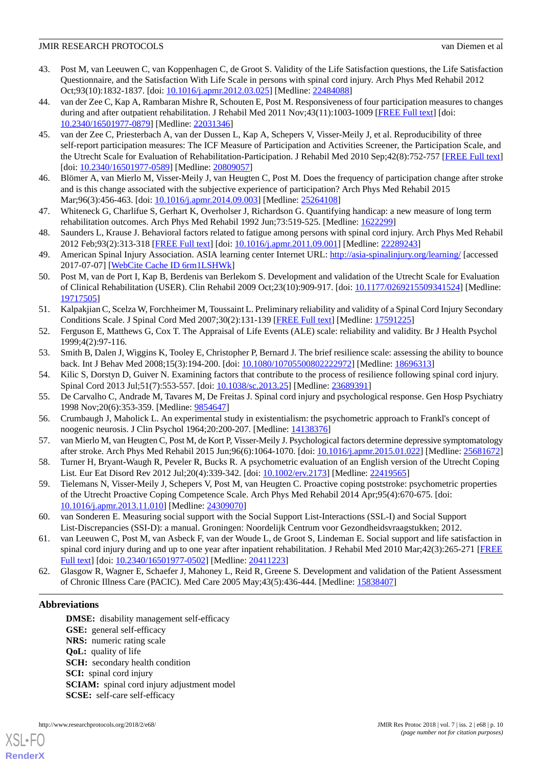- <span id="page-9-0"></span>43. Post M, van Leeuwen C, van Koppenhagen C, de Groot S. Validity of the Life Satisfaction questions, the Life Satisfaction Questionnaire, and the Satisfaction With Life Scale in persons with spinal cord injury. Arch Phys Med Rehabil 2012 Oct;93(10):1832-1837. [doi: [10.1016/j.apmr.2012.03.025\]](http://dx.doi.org/10.1016/j.apmr.2012.03.025) [Medline: [22484088\]](http://www.ncbi.nlm.nih.gov/entrez/query.fcgi?cmd=Retrieve&db=PubMed&list_uids=22484088&dopt=Abstract)
- <span id="page-9-1"></span>44. van der Zee C, Kap A, Rambaran Mishre R, Schouten E, Post M. Responsiveness of four participation measures to changes during and after outpatient rehabilitation. J Rehabil Med 2011 Nov;43(11):1003-1009 [[FREE Full text\]](https://www.medicaljournals.se/jrm/content/abstract/10.2340/16501977-0879) [doi: [10.2340/16501977-0879](http://dx.doi.org/10.2340/16501977-0879)] [Medline: [22031346\]](http://www.ncbi.nlm.nih.gov/entrez/query.fcgi?cmd=Retrieve&db=PubMed&list_uids=22031346&dopt=Abstract)
- <span id="page-9-2"></span>45. van der Zee C, Priesterbach A, van der Dussen L, Kap A, Schepers V, Visser-Meily J, et al. Reproducibility of three self-report participation measures: The ICF Measure of Participation and Activities Screener, the Participation Scale, and the Utrecht Scale for Evaluation of Rehabilitation-Participation. J Rehabil Med 2010 Sep;42(8):752-757 [\[FREE Full text](https://www.medicaljournals.se/jrm/content/abstract/10.2340/16501977-0589)] [doi: [10.2340/16501977-0589](http://dx.doi.org/10.2340/16501977-0589)] [Medline: [20809057](http://www.ncbi.nlm.nih.gov/entrez/query.fcgi?cmd=Retrieve&db=PubMed&list_uids=20809057&dopt=Abstract)]
- <span id="page-9-4"></span><span id="page-9-3"></span>46. Blömer A, van Mierlo M, Visser-Meily J, van Heugten C, Post M. Does the frequency of participation change after stroke and is this change associated with the subjective experience of participation? Arch Phys Med Rehabil 2015 Mar;96(3):456-463. [doi: [10.1016/j.apmr.2014.09.003](http://dx.doi.org/10.1016/j.apmr.2014.09.003)] [Medline: [25264108\]](http://www.ncbi.nlm.nih.gov/entrez/query.fcgi?cmd=Retrieve&db=PubMed&list_uids=25264108&dopt=Abstract)
- <span id="page-9-5"></span>47. Whiteneck G, Charlifue S, Gerhart K, Overholser J, Richardson G. Quantifying handicap: a new measure of long term rehabilitation outcomes. Arch Phys Med Rehabil 1992 Jun;73:519-525. [Medline: [1622299\]](http://www.ncbi.nlm.nih.gov/entrez/query.fcgi?cmd=Retrieve&db=PubMed&list_uids=1622299&dopt=Abstract)
- <span id="page-9-6"></span>48. Saunders L, Krause J. Behavioral factors related to fatigue among persons with spinal cord injury. Arch Phys Med Rehabil 2012 Feb;93(2):313-318 [\[FREE Full text\]](http://europepmc.org/abstract/MED/22289243) [doi: [10.1016/j.apmr.2011.09.001](http://dx.doi.org/10.1016/j.apmr.2011.09.001)] [Medline: [22289243\]](http://www.ncbi.nlm.nih.gov/entrez/query.fcgi?cmd=Retrieve&db=PubMed&list_uids=22289243&dopt=Abstract)
- <span id="page-9-7"></span>49. American Spinal Injury Association. ASIA learning center Internet URL: <http://asia-spinalinjury.org/learning/> [accessed] 2017-07-07] [\[WebCite Cache ID 6rm1LSHWk\]](http://www.webcitation.org/

                                6rm1LSHWk)
- <span id="page-9-8"></span>50. Post M, van de Port I, Kap B, Berdenis van Berlekom S. Development and validation of the Utrecht Scale for Evaluation of Clinical Rehabilitation (USER). Clin Rehabil 2009 Oct;23(10):909-917. [doi: [10.1177/0269215509341524](http://dx.doi.org/10.1177/0269215509341524)] [Medline: [19717505](http://www.ncbi.nlm.nih.gov/entrez/query.fcgi?cmd=Retrieve&db=PubMed&list_uids=19717505&dopt=Abstract)]
- <span id="page-9-10"></span><span id="page-9-9"></span>51. Kalpakjian C, Scelza W, Forchheimer M, Toussaint L. Preliminary reliability and validity of a Spinal Cord Injury Secondary Conditions Scale. J Spinal Cord Med 2007;30(2):131-139 [[FREE Full text](http://europepmc.org/abstract/MED/17591225)] [Medline: [17591225\]](http://www.ncbi.nlm.nih.gov/entrez/query.fcgi?cmd=Retrieve&db=PubMed&list_uids=17591225&dopt=Abstract)
- <span id="page-9-11"></span>52. Ferguson E, Matthews G, Cox T. The Appraisal of Life Events (ALE) scale: reliability and validity. Br J Health Psychol 1999;4(2):97-116.
- <span id="page-9-12"></span>53. Smith B, Dalen J, Wiggins K, Tooley E, Christopher P, Bernard J. The brief resilience scale: assessing the ability to bounce back. Int J Behav Med 2008;15(3):194-200. [doi: [10.1080/10705500802222972](http://dx.doi.org/10.1080/10705500802222972)] [Medline: [18696313](http://www.ncbi.nlm.nih.gov/entrez/query.fcgi?cmd=Retrieve&db=PubMed&list_uids=18696313&dopt=Abstract)]
- <span id="page-9-13"></span>54. Kilic S, Dorstyn D, Guiver N. Examining factors that contribute to the process of resilience following spinal cord injury. Spinal Cord 2013 Jul;51(7):553-557. [doi: [10.1038/sc.2013.25\]](http://dx.doi.org/10.1038/sc.2013.25) [Medline: [23689391\]](http://www.ncbi.nlm.nih.gov/entrez/query.fcgi?cmd=Retrieve&db=PubMed&list_uids=23689391&dopt=Abstract)
- <span id="page-9-14"></span>55. De Carvalho C, Andrade M, Tavares M, De Freitas J. Spinal cord injury and psychological response. Gen Hosp Psychiatry 1998 Nov;20(6):353-359. [Medline: [9854647\]](http://www.ncbi.nlm.nih.gov/entrez/query.fcgi?cmd=Retrieve&db=PubMed&list_uids=9854647&dopt=Abstract)
- <span id="page-9-15"></span>56. Crumbaugh J, Maholick L. An experimental study in existentialism: the psychometric approach to Frankl's concept of noogenic neurosis. J Clin Psychol 1964;20:200-207. [Medline: [14138376](http://www.ncbi.nlm.nih.gov/entrez/query.fcgi?cmd=Retrieve&db=PubMed&list_uids=14138376&dopt=Abstract)]
- <span id="page-9-16"></span>57. van Mierlo M, van Heugten C, Post M, de Kort P, Visser-Meily J. Psychological factors determine depressive symptomatology after stroke. Arch Phys Med Rehabil 2015 Jun;96(6):1064-1070. [doi: [10.1016/j.apmr.2015.01.022\]](http://dx.doi.org/10.1016/j.apmr.2015.01.022) [Medline: [25681672](http://www.ncbi.nlm.nih.gov/entrez/query.fcgi?cmd=Retrieve&db=PubMed&list_uids=25681672&dopt=Abstract)]
- <span id="page-9-17"></span>58. Turner H, Bryant-Waugh R, Peveler R, Bucks R. A psychometric evaluation of an English version of the Utrecht Coping List. Eur Eat Disord Rev 2012 Jul;20(4):339-342. [doi: [10.1002/erv.2173\]](http://dx.doi.org/10.1002/erv.2173) [Medline: [22419565\]](http://www.ncbi.nlm.nih.gov/entrez/query.fcgi?cmd=Retrieve&db=PubMed&list_uids=22419565&dopt=Abstract)
- <span id="page-9-18"></span>59. Tielemans N, Visser-Meily J, Schepers V, Post M, van Heugten C. Proactive coping poststroke: psychometric properties of the Utrecht Proactive Coping Competence Scale. Arch Phys Med Rehabil 2014 Apr;95(4):670-675. [doi: [10.1016/j.apmr.2013.11.010\]](http://dx.doi.org/10.1016/j.apmr.2013.11.010) [Medline: [24309070](http://www.ncbi.nlm.nih.gov/entrez/query.fcgi?cmd=Retrieve&db=PubMed&list_uids=24309070&dopt=Abstract)]
- <span id="page-9-19"></span>60. van Sonderen E. Measuring social support with the Social Support List-Interactions (SSL-I) and Social Support List-Discrepancies (SSI-D): a manual. Groningen: Noordelijk Centrum voor Gezondheidsvraagstukken; 2012.
- 61. van Leeuwen C, Post M, van Asbeck F, van der Woude L, de Groot S, Lindeman E. Social support and life satisfaction in spinal cord injury during and up to one year after inpatient rehabilitation. J Rehabil Med 2010 Mar;42(3):265-271 [[FREE](https://www.medicaljournals.se/jrm/content/abstract/10.2340/16501977-0502) [Full text\]](https://www.medicaljournals.se/jrm/content/abstract/10.2340/16501977-0502) [doi: [10.2340/16501977-0502\]](http://dx.doi.org/10.2340/16501977-0502) [Medline: [20411223\]](http://www.ncbi.nlm.nih.gov/entrez/query.fcgi?cmd=Retrieve&db=PubMed&list_uids=20411223&dopt=Abstract)
- 62. Glasgow R, Wagner E, Schaefer J, Mahoney L, Reid R, Greene S. Development and validation of the Patient Assessment of Chronic Illness Care (PACIC). Med Care 2005 May;43(5):436-444. [Medline: [15838407](http://www.ncbi.nlm.nih.gov/entrez/query.fcgi?cmd=Retrieve&db=PubMed&list_uids=15838407&dopt=Abstract)]

#### **Abbreviations**

[XSL](http://www.w3.org/Style/XSL)•FO **[RenderX](http://www.renderx.com/)**

**DMSE:** disability management self-efficacy **GSE:** general self-efficacy **NRS:** numeric rating scale **QoL:** quality of life **SCH:** secondary health condition **SCI:** spinal cord injury **SCIAM:** spinal cord injury adjustment model **SCSE:** self-care self-efficacy